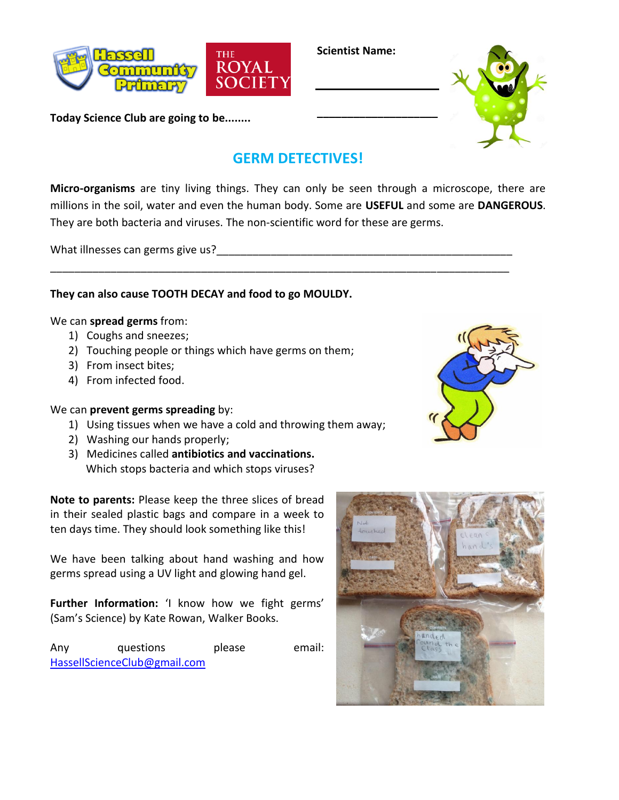

**Today Science Club are going to be........**

**Scientist Name:**

**\_\_\_\_\_\_\_\_\_\_\_\_\_\_\_\_\_\_\_\_**



# **GERM DETECTIVES!**

**Micro-organisms** are tiny living things. They can only be seen through a microscope, there are millions in the soil, water and even the human body. Some are **USEFUL** and some are **DANGEROUS**. They are both bacteria and viruses. The non-scientific word for these are germs.

\_\_\_\_\_\_\_\_\_\_\_\_\_\_\_\_\_\_\_\_\_\_\_\_\_\_\_\_\_\_\_\_\_\_\_\_\_\_\_\_\_\_\_\_\_\_\_\_\_\_\_\_\_\_\_\_\_\_\_\_\_\_\_\_\_\_\_\_\_\_\_\_\_\_\_\_

What illnesses can germs give us?

# **They can also cause TOOTH DECAY and food to go MOULDY.**

## We can **spread germs** from:

- 1) Coughs and sneezes;
- 2) Touching people or things which have germs on them;
- 3) From insect bites;
- 4) From infected food.

### We can **prevent germs spreading** by:

- 1) Using tissues when we have a cold and throwing them away;
- 2) Washing our hands properly;
- 3) Medicines called **antibiotics and vaccinations.** Which stops bacteria and which stops viruses?

**Note to parents:** Please keep the three slices of bread in their sealed plastic bags and compare in a week to ten days time. They should look something like this!

We have been talking about hand washing and how germs spread using a UV light and glowing hand gel.

**Further Information:** 'I know how we fight germs' (Sam's Science) by Kate Rowan, Walker Books.

Any questions please email: [HassellScienceClub@gmail.com](mailto:HassellScienceClub@gmail.com)